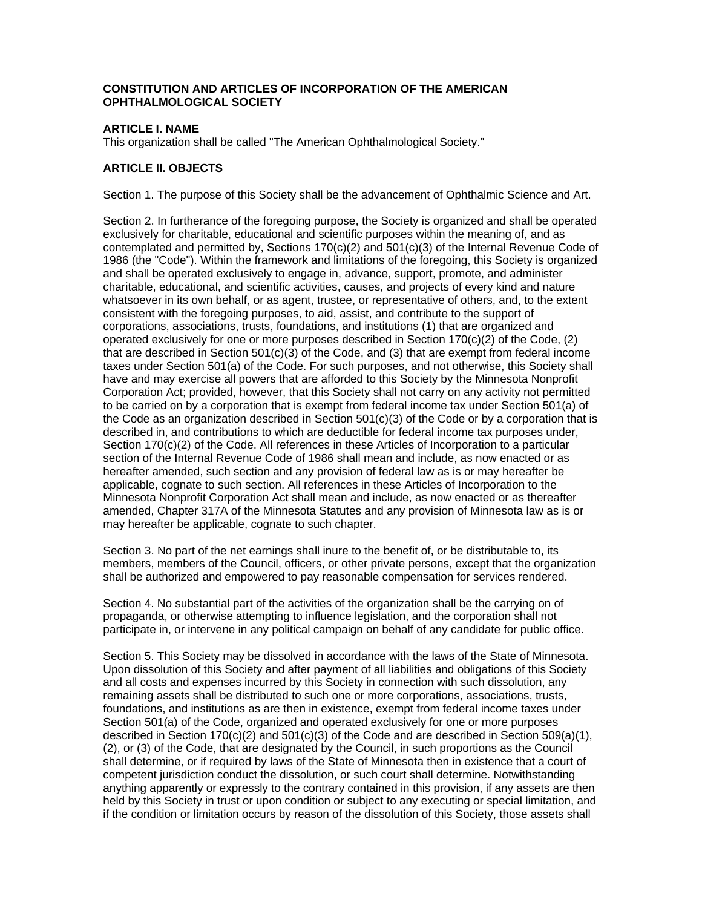### **CONSTITUTION AND ARTICLES OF INCORPORATION OF THE AMERICAN OPHTHALMOLOGICAL SOCIETY**

## **ARTICLE I. NAME**

This organization shall be called "The American Ophthalmological Society."

### **ARTICLE II. OBJECTS**

Section 1. The purpose of this Society shall be the advancement of Ophthalmic Science and Art.

Section 2. In furtherance of the foregoing purpose, the Society is organized and shall be operated exclusively for charitable, educational and scientific purposes within the meaning of, and as contemplated and permitted by, Sections 170(c)(2) and 501(c)(3) of the Internal Revenue Code of 1986 (the "Code"). Within the framework and limitations of the foregoing, this Society is organized and shall be operated exclusively to engage in, advance, support, promote, and administer charitable, educational, and scientific activities, causes, and projects of every kind and nature whatsoever in its own behalf, or as agent, trustee, or representative of others, and, to the extent consistent with the foregoing purposes, to aid, assist, and contribute to the support of corporations, associations, trusts, foundations, and institutions (1) that are organized and operated exclusively for one or more purposes described in Section 170(c)(2) of the Code, (2) that are described in Section  $501(c)(3)$  of the Code, and (3) that are exempt from federal income taxes under Section 501(a) of the Code. For such purposes, and not otherwise, this Society shall have and may exercise all powers that are afforded to this Society by the Minnesota Nonprofit Corporation Act; provided, however, that this Society shall not carry on any activity not permitted to be carried on by a corporation that is exempt from federal income tax under Section 501(a) of the Code as an organization described in Section 501(c)(3) of the Code or by a corporation that is described in, and contributions to which are deductible for federal income tax purposes under, Section 170(c)(2) of the Code. All references in these Articles of Incorporation to a particular section of the Internal Revenue Code of 1986 shall mean and include, as now enacted or as hereafter amended, such section and any provision of federal law as is or may hereafter be applicable, cognate to such section. All references in these Articles of Incorporation to the Minnesota Nonprofit Corporation Act shall mean and include, as now enacted or as thereafter amended, Chapter 317A of the Minnesota Statutes and any provision of Minnesota law as is or may hereafter be applicable, cognate to such chapter.

Section 3. No part of the net earnings shall inure to the benefit of, or be distributable to, its members, members of the Council, officers, or other private persons, except that the organization shall be authorized and empowered to pay reasonable compensation for services rendered.

Section 4. No substantial part of the activities of the organization shall be the carrying on of propaganda, or otherwise attempting to influence legislation, and the corporation shall not participate in, or intervene in any political campaign on behalf of any candidate for public office.

Section 5. This Society may be dissolved in accordance with the laws of the State of Minnesota. Upon dissolution of this Society and after payment of all liabilities and obligations of this Society and all costs and expenses incurred by this Society in connection with such dissolution, any remaining assets shall be distributed to such one or more corporations, associations, trusts, foundations, and institutions as are then in existence, exempt from federal income taxes under Section 501(a) of the Code, organized and operated exclusively for one or more purposes described in Section 170(c)(2) and 501(c)(3) of the Code and are described in Section 509(a)(1), (2), or (3) of the Code, that are designated by the Council, in such proportions as the Council shall determine, or if required by laws of the State of Minnesota then in existence that a court of competent jurisdiction conduct the dissolution, or such court shall determine. Notwithstanding anything apparently or expressly to the contrary contained in this provision, if any assets are then held by this Society in trust or upon condition or subject to any executing or special limitation, and if the condition or limitation occurs by reason of the dissolution of this Society, those assets shall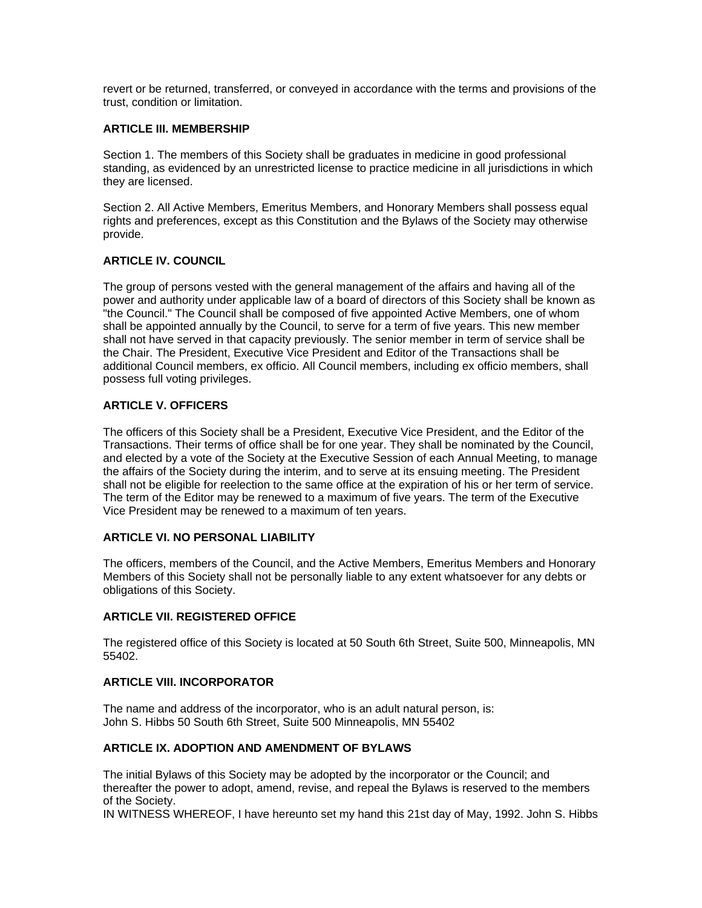revert or be returned, transferred, or conveyed in accordance with the terms and provisions of the trust, condition or limitation.

### **ARTICLE III. MEMBERSHIP**

Section 1. The members of this Society shall be graduates in medicine in good professional standing, as evidenced by an unrestricted license to practice medicine in all jurisdictions in which they are licensed.

Section 2. All Active Members, Emeritus Members, and Honorary Members shall possess equal rights and preferences, except as this Constitution and the Bylaws of the Society may otherwise provide.

## **ARTICLE IV. COUNCIL**

The group of persons vested with the general management of the affairs and having all of the power and authority under applicable law of a board of directors of this Society shall be known as "the Council." The Council shall be composed of five appointed Active Members, one of whom shall be appointed annually by the Council, to serve for a term of five years. This new member shall not have served in that capacity previously. The senior member in term of service shall be the Chair. The President, Executive Vice President and Editor of the Transactions shall be additional Council members, ex officio. All Council members, including ex officio members, shall possess full voting privileges.

## **ARTICLE V. OFFICERS**

The officers of this Society shall be a President, Executive Vice President, and the Editor of the Transactions. Their terms of office shall be for one year. They shall be nominated by the Council, and elected by a vote of the Society at the Executive Session of each Annual Meeting, to manage the affairs of the Society during the interim, and to serve at its ensuing meeting. The President shall not be eligible for reelection to the same office at the expiration of his or her term of service. The term of the Editor may be renewed to a maximum of five years. The term of the Executive Vice President may be renewed to a maximum of ten years.

#### **ARTICLE VI. NO PERSONAL LIABILITY**

The officers, members of the Council, and the Active Members, Emeritus Members and Honorary Members of this Society shall not be personally liable to any extent whatsoever for any debts or obligations of this Society.

#### **ARTICLE VII. REGISTERED OFFICE**

The registered office of this Society is located at 50 South 6th Street, Suite 500, Minneapolis, MN 55402.

### **ARTICLE VIII. INCORPORATOR**

The name and address of the incorporator, who is an adult natural person, is: John S. Hibbs 50 South 6th Street, Suite 500 Minneapolis, MN 55402

#### **ARTICLE IX. ADOPTION AND AMENDMENT OF BYLAWS**

The initial Bylaws of this Society may be adopted by the incorporator or the Council; and thereafter the power to adopt, amend, revise, and repeal the Bylaws is reserved to the members of the Society.

IN WITNESS WHEREOF, I have hereunto set my hand this 21st day of May, 1992. John S. Hibbs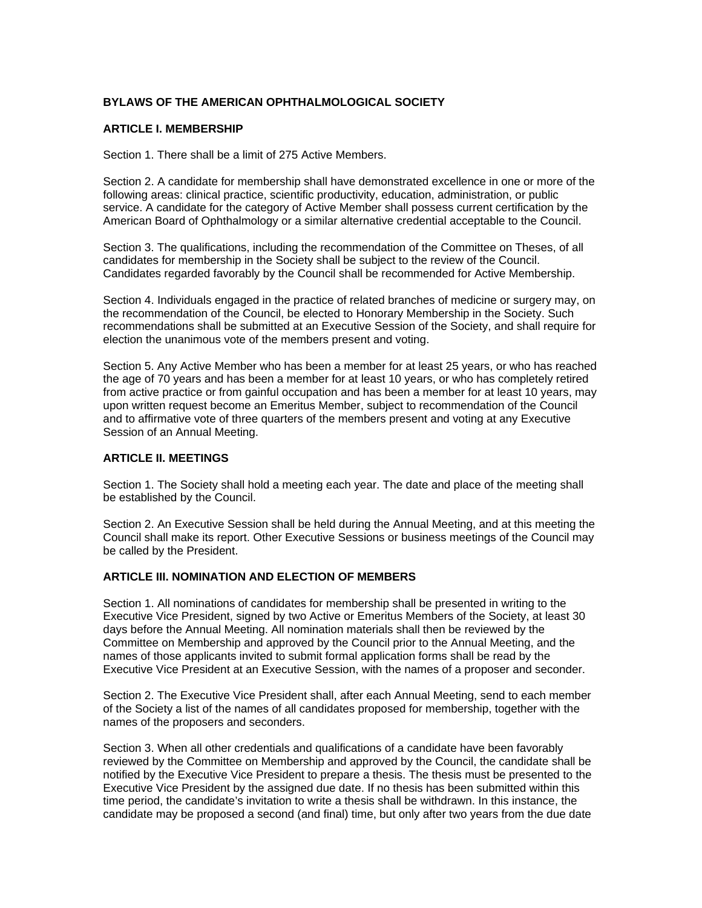### **BYLAWS OF THE AMERICAN OPHTHALMOLOGICAL SOCIETY**

### **ARTICLE I. MEMBERSHIP**

Section 1. There shall be a limit of 275 Active Members.

Section 2. A candidate for membership shall have demonstrated excellence in one or more of the following areas: clinical practice, scientific productivity, education, administration, or public service. A candidate for the category of Active Member shall possess current certification by the American Board of Ophthalmology or a similar alternative credential acceptable to the Council.

Section 3. The qualifications, including the recommendation of the Committee on Theses, of all candidates for membership in the Society shall be subject to the review of the Council. Candidates regarded favorably by the Council shall be recommended for Active Membership.

Section 4. Individuals engaged in the practice of related branches of medicine or surgery may, on the recommendation of the Council, be elected to Honorary Membership in the Society. Such recommendations shall be submitted at an Executive Session of the Society, and shall require for election the unanimous vote of the members present and voting.

Section 5. Any Active Member who has been a member for at least 25 years, or who has reached the age of 70 years and has been a member for at least 10 years, or who has completely retired from active practice or from gainful occupation and has been a member for at least 10 years, may upon written request become an Emeritus Member, subject to recommendation of the Council and to affirmative vote of three quarters of the members present and voting at any Executive Session of an Annual Meeting.

#### **ARTICLE II. MEETINGS**

Section 1. The Society shall hold a meeting each year. The date and place of the meeting shall be established by the Council.

Section 2. An Executive Session shall be held during the Annual Meeting, and at this meeting the Council shall make its report. Other Executive Sessions or business meetings of the Council may be called by the President.

#### **ARTICLE III. NOMINATION AND ELECTION OF MEMBERS**

Section 1. All nominations of candidates for membership shall be presented in writing to the Executive Vice President, signed by two Active or Emeritus Members of the Society, at least 30 days before the Annual Meeting. All nomination materials shall then be reviewed by the Committee on Membership and approved by the Council prior to the Annual Meeting, and the names of those applicants invited to submit formal application forms shall be read by the Executive Vice President at an Executive Session, with the names of a proposer and seconder.

Section 2. The Executive Vice President shall, after each Annual Meeting, send to each member of the Society a list of the names of all candidates proposed for membership, together with the names of the proposers and seconders.

Section 3. When all other credentials and qualifications of a candidate have been favorably reviewed by the Committee on Membership and approved by the Council, the candidate shall be notified by the Executive Vice President to prepare a thesis. The thesis must be presented to the Executive Vice President by the assigned due date. If no thesis has been submitted within this time period, the candidate's invitation to write a thesis shall be withdrawn. In this instance, the candidate may be proposed a second (and final) time, but only after two years from the due date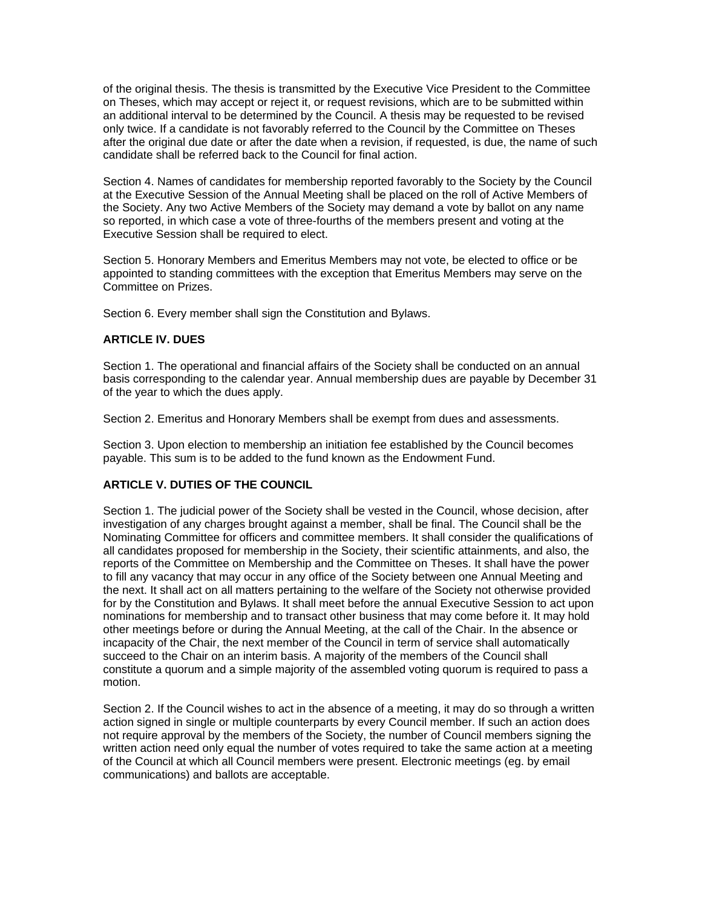of the original thesis. The thesis is transmitted by the Executive Vice President to the Committee on Theses, which may accept or reject it, or request revisions, which are to be submitted within an additional interval to be determined by the Council. A thesis may be requested to be revised only twice. If a candidate is not favorably referred to the Council by the Committee on Theses after the original due date or after the date when a revision, if requested, is due, the name of such candidate shall be referred back to the Council for final action.

Section 4. Names of candidates for membership reported favorably to the Society by the Council at the Executive Session of the Annual Meeting shall be placed on the roll of Active Members of the Society. Any two Active Members of the Society may demand a vote by ballot on any name so reported, in which case a vote of three-fourths of the members present and voting at the Executive Session shall be required to elect.

Section 5. Honorary Members and Emeritus Members may not vote, be elected to office or be appointed to standing committees with the exception that Emeritus Members may serve on the Committee on Prizes.

Section 6. Every member shall sign the Constitution and Bylaws.

### **ARTICLE IV. DUES**

Section 1. The operational and financial affairs of the Society shall be conducted on an annual basis corresponding to the calendar year. Annual membership dues are payable by December 31 of the year to which the dues apply.

Section 2. Emeritus and Honorary Members shall be exempt from dues and assessments.

Section 3. Upon election to membership an initiation fee established by the Council becomes payable. This sum is to be added to the fund known as the Endowment Fund.

## **ARTICLE V. DUTIES OF THE COUNCIL**

Section 1. The judicial power of the Society shall be vested in the Council, whose decision, after investigation of any charges brought against a member, shall be final. The Council shall be the Nominating Committee for officers and committee members. It shall consider the qualifications of all candidates proposed for membership in the Society, their scientific attainments, and also, the reports of the Committee on Membership and the Committee on Theses. It shall have the power to fill any vacancy that may occur in any office of the Society between one Annual Meeting and the next. It shall act on all matters pertaining to the welfare of the Society not otherwise provided for by the Constitution and Bylaws. It shall meet before the annual Executive Session to act upon nominations for membership and to transact other business that may come before it. It may hold other meetings before or during the Annual Meeting, at the call of the Chair. In the absence or incapacity of the Chair, the next member of the Council in term of service shall automatically succeed to the Chair on an interim basis. A majority of the members of the Council shall constitute a quorum and a simple majority of the assembled voting quorum is required to pass a motion.

Section 2. If the Council wishes to act in the absence of a meeting, it may do so through a written action signed in single or multiple counterparts by every Council member. If such an action does not require approval by the members of the Society, the number of Council members signing the written action need only equal the number of votes required to take the same action at a meeting of the Council at which all Council members were present. Electronic meetings (eg. by email communications) and ballots are acceptable.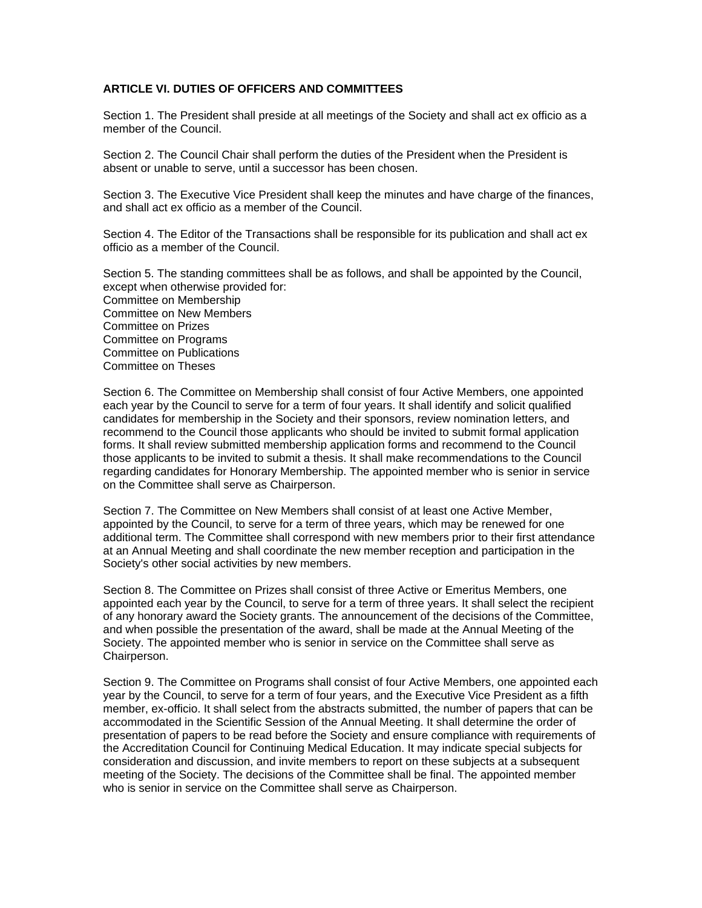### **ARTICLE VI. DUTIES OF OFFICERS AND COMMITTEES**

Section 1. The President shall preside at all meetings of the Society and shall act ex officio as a member of the Council.

Section 2. The Council Chair shall perform the duties of the President when the President is absent or unable to serve, until a successor has been chosen.

Section 3. The Executive Vice President shall keep the minutes and have charge of the finances, and shall act ex officio as a member of the Council.

Section 4. The Editor of the Transactions shall be responsible for its publication and shall act ex officio as a member of the Council.

Section 5. The standing committees shall be as follows, and shall be appointed by the Council, except when otherwise provided for: Committee on Membership Committee on New Members Committee on Prizes Committee on Programs Committee on Publications Committee on Theses

Section 6. The Committee on Membership shall consist of four Active Members, one appointed each year by the Council to serve for a term of four years. It shall identify and solicit qualified candidates for membership in the Society and their sponsors, review nomination letters, and recommend to the Council those applicants who should be invited to submit formal application forms. It shall review submitted membership application forms and recommend to the Council those applicants to be invited to submit a thesis. It shall make recommendations to the Council regarding candidates for Honorary Membership. The appointed member who is senior in service on the Committee shall serve as Chairperson.

Section 7. The Committee on New Members shall consist of at least one Active Member, appointed by the Council, to serve for a term of three years, which may be renewed for one additional term. The Committee shall correspond with new members prior to their first attendance at an Annual Meeting and shall coordinate the new member reception and participation in the Society's other social activities by new members.

Section 8. The Committee on Prizes shall consist of three Active or Emeritus Members, one appointed each year by the Council, to serve for a term of three years. It shall select the recipient of any honorary award the Society grants. The announcement of the decisions of the Committee, and when possible the presentation of the award, shall be made at the Annual Meeting of the Society. The appointed member who is senior in service on the Committee shall serve as Chairperson.

Section 9. The Committee on Programs shall consist of four Active Members, one appointed each year by the Council, to serve for a term of four years, and the Executive Vice President as a fifth member, ex-officio. It shall select from the abstracts submitted, the number of papers that can be accommodated in the Scientific Session of the Annual Meeting. It shall determine the order of presentation of papers to be read before the Society and ensure compliance with requirements of the Accreditation Council for Continuing Medical Education. It may indicate special subjects for consideration and discussion, and invite members to report on these subjects at a subsequent meeting of the Society. The decisions of the Committee shall be final. The appointed member who is senior in service on the Committee shall serve as Chairperson.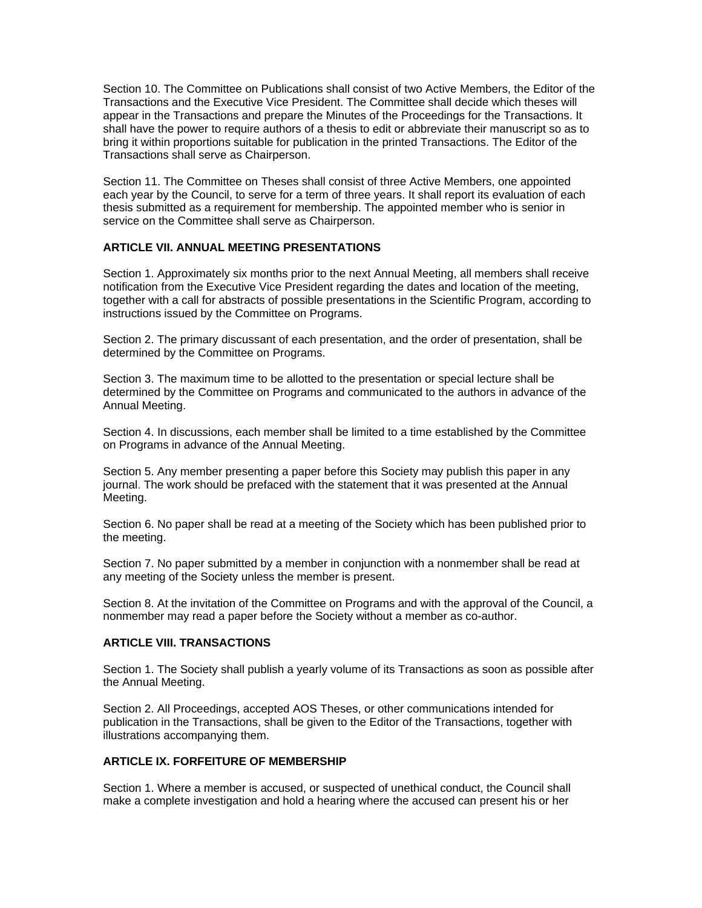Section 10. The Committee on Publications shall consist of two Active Members, the Editor of the Transactions and the Executive Vice President. The Committee shall decide which theses will appear in the Transactions and prepare the Minutes of the Proceedings for the Transactions. It shall have the power to require authors of a thesis to edit or abbreviate their manuscript so as to bring it within proportions suitable for publication in the printed Transactions. The Editor of the Transactions shall serve as Chairperson.

Section 11. The Committee on Theses shall consist of three Active Members, one appointed each year by the Council, to serve for a term of three years. It shall report its evaluation of each thesis submitted as a requirement for membership. The appointed member who is senior in service on the Committee shall serve as Chairperson.

### **ARTICLE VII. ANNUAL MEETING PRESENTATIONS**

Section 1. Approximately six months prior to the next Annual Meeting, all members shall receive notification from the Executive Vice President regarding the dates and location of the meeting, together with a call for abstracts of possible presentations in the Scientific Program, according to instructions issued by the Committee on Programs.

Section 2. The primary discussant of each presentation, and the order of presentation, shall be determined by the Committee on Programs.

Section 3. The maximum time to be allotted to the presentation or special lecture shall be determined by the Committee on Programs and communicated to the authors in advance of the Annual Meeting.

Section 4. In discussions, each member shall be limited to a time established by the Committee on Programs in advance of the Annual Meeting.

Section 5. Any member presenting a paper before this Society may publish this paper in any journal. The work should be prefaced with the statement that it was presented at the Annual Meeting.

Section 6. No paper shall be read at a meeting of the Society which has been published prior to the meeting.

Section 7. No paper submitted by a member in conjunction with a nonmember shall be read at any meeting of the Society unless the member is present.

Section 8. At the invitation of the Committee on Programs and with the approval of the Council, a nonmember may read a paper before the Society without a member as co-author.

### **ARTICLE VIII. TRANSACTIONS**

Section 1. The Society shall publish a yearly volume of its Transactions as soon as possible after the Annual Meeting.

Section 2. All Proceedings, accepted AOS Theses, or other communications intended for publication in the Transactions, shall be given to the Editor of the Transactions, together with illustrations accompanying them.

#### **ARTICLE IX. FORFEITURE OF MEMBERSHIP**

Section 1. Where a member is accused, or suspected of unethical conduct, the Council shall make a complete investigation and hold a hearing where the accused can present his or her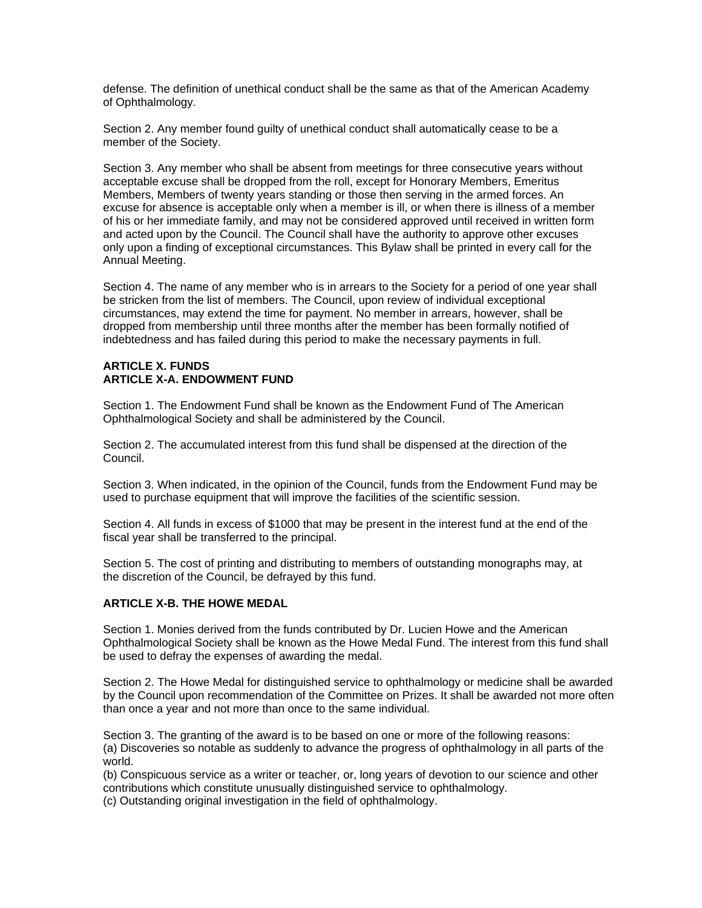defense. The definition of unethical conduct shall be the same as that of the American Academy of Ophthalmology.

Section 2. Any member found guilty of unethical conduct shall automatically cease to be a member of the Society.

Section 3. Any member who shall be absent from meetings for three consecutive years without acceptable excuse shall be dropped from the roll, except for Honorary Members, Emeritus Members, Members of twenty years standing or those then serving in the armed forces. An excuse for absence is acceptable only when a member is ill, or when there is illness of a member of his or her immediate family, and may not be considered approved until received in written form and acted upon by the Council. The Council shall have the authority to approve other excuses only upon a finding of exceptional circumstances. This Bylaw shall be printed in every call for the Annual Meeting.

Section 4. The name of any member who is in arrears to the Society for a period of one year shall be stricken from the list of members. The Council, upon review of individual exceptional circumstances, may extend the time for payment. No member in arrears, however, shall be dropped from membership until three months after the member has been formally notified of indebtedness and has failed during this period to make the necessary payments in full.

## **ARTICLE X. FUNDS ARTICLE X-A. ENDOWMENT FUND**

Section 1. The Endowment Fund shall be known as the Endowment Fund of The American Ophthalmological Society and shall be administered by the Council.

Section 2. The accumulated interest from this fund shall be dispensed at the direction of the Council.

Section 3. When indicated, in the opinion of the Council, funds from the Endowment Fund may be used to purchase equipment that will improve the facilities of the scientific session.

Section 4. All funds in excess of \$1000 that may be present in the interest fund at the end of the fiscal year shall be transferred to the principal.

Section 5. The cost of printing and distributing to members of outstanding monographs may, at the discretion of the Council, be defrayed by this fund.

#### **ARTICLE X-B. THE HOWE MEDAL**

Section 1. Monies derived from the funds contributed by Dr. Lucien Howe and the American Ophthalmological Society shall be known as the Howe Medal Fund. The interest from this fund shall be used to defray the expenses of awarding the medal.

Section 2. The Howe Medal for distinguished service to ophthalmology or medicine shall be awarded by the Council upon recommendation of the Committee on Prizes. It shall be awarded not more often than once a year and not more than once to the same individual.

Section 3. The granting of the award is to be based on one or more of the following reasons: (a) Discoveries so notable as suddenly to advance the progress of ophthalmology in all parts of the world.

(b) Conspicuous service as a writer or teacher, or, long years of devotion to our science and other contributions which constitute unusually distinguished service to ophthalmology.

(c) Outstanding original investigation in the field of ophthalmology.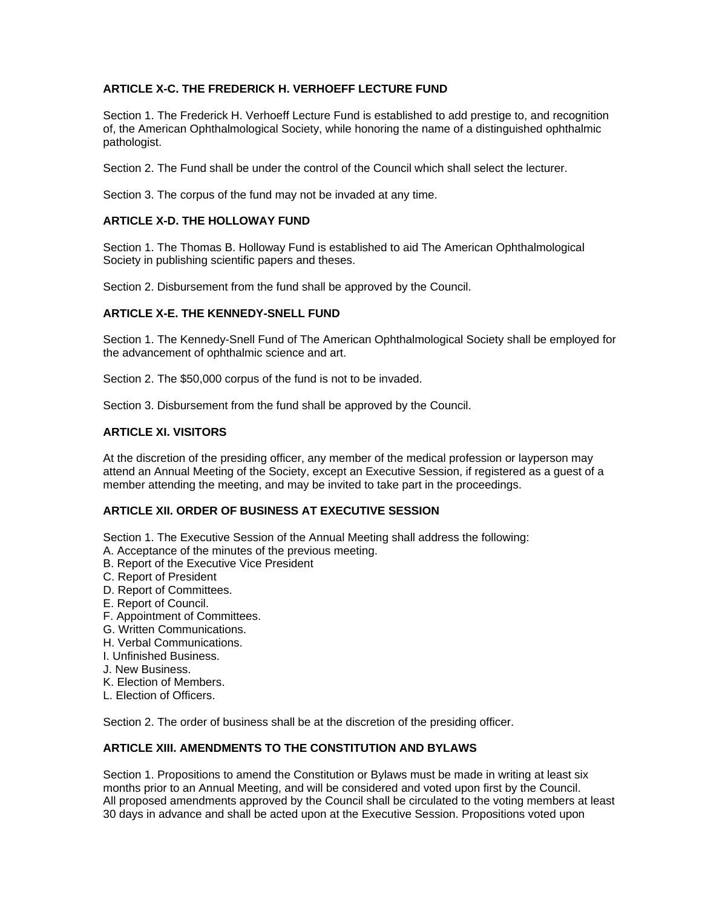# **ARTICLE X-C. THE FREDERICK H. VERHOEFF LECTURE FUND**

Section 1. The Frederick H. Verhoeff Lecture Fund is established to add prestige to, and recognition of, the American Ophthalmological Society, while honoring the name of a distinguished ophthalmic pathologist.

Section 2. The Fund shall be under the control of the Council which shall select the lecturer.

Section 3. The corpus of the fund may not be invaded at any time.

## **ARTICLE X-D. THE HOLLOWAY FUND**

Section 1. The Thomas B. Holloway Fund is established to aid The American Ophthalmological Society in publishing scientific papers and theses.

Section 2. Disbursement from the fund shall be approved by the Council.

## **ARTICLE X-E. THE KENNEDY-SNELL FUND**

Section 1. The Kennedy-Snell Fund of The American Ophthalmological Society shall be employed for the advancement of ophthalmic science and art.

Section 2. The \$50,000 corpus of the fund is not to be invaded.

Section 3. Disbursement from the fund shall be approved by the Council.

## **ARTICLE XI. VISITORS**

At the discretion of the presiding officer, any member of the medical profession or layperson may attend an Annual Meeting of the Society, except an Executive Session, if registered as a guest of a member attending the meeting, and may be invited to take part in the proceedings.

## **ARTICLE XII. ORDER OF BUSINESS AT EXECUTIVE SESSION**

Section 1. The Executive Session of the Annual Meeting shall address the following:

- A. Acceptance of the minutes of the previous meeting.
- B. Report of the Executive Vice President
- C. Report of President
- D. Report of Committees.
- E. Report of Council.
- F. Appointment of Committees.
- G. Written Communications.
- H. Verbal Communications.
- I. Unfinished Business.
- J. New Business.
- K. Election of Members.
- L. Election of Officers.

Section 2. The order of business shall be at the discretion of the presiding officer.

## **ARTICLE XIII. AMENDMENTS TO THE CONSTITUTION AND BYLAWS**

Section 1. Propositions to amend the Constitution or Bylaws must be made in writing at least six months prior to an Annual Meeting, and will be considered and voted upon first by the Council. All proposed amendments approved by the Council shall be circulated to the voting members at least 30 days in advance and shall be acted upon at the Executive Session. Propositions voted upon